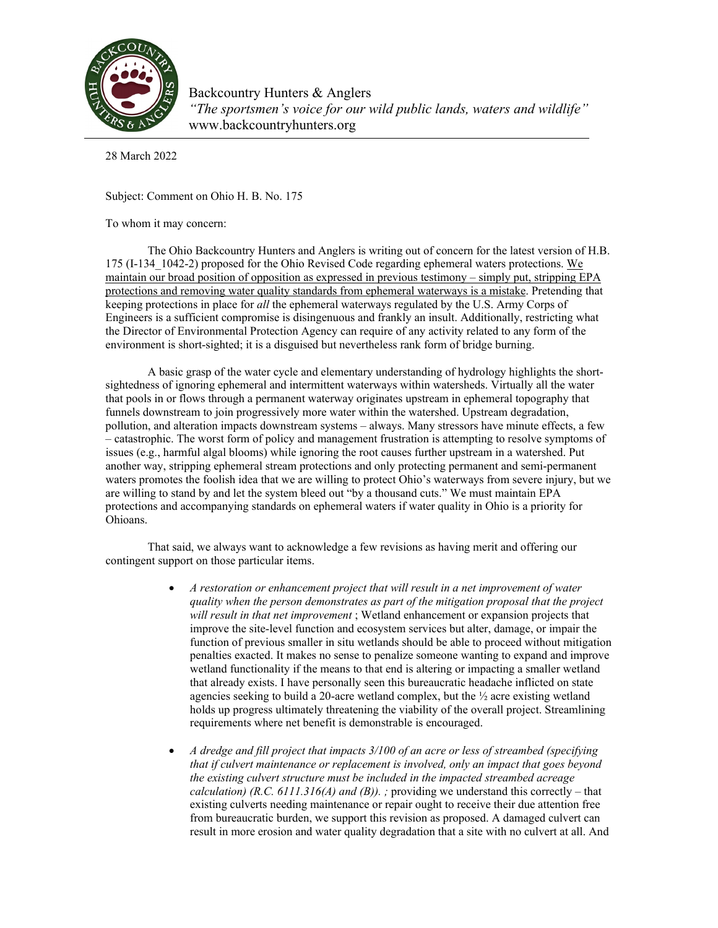

Backcountry Hunters & Anglers *"The sportsmen's voice for our wild public lands, waters and wildlife"* www.backcountryhunters.org

28 March 2022

Subject: Comment on Ohio H. B. No. 175

To whom it may concern:

The Ohio Backcountry Hunters and Anglers is writing out of concern for the latest version of H.B. 175 (I-134\_1042-2) proposed for the Ohio Revised Code regarding ephemeral waters protections. We maintain our broad position of opposition as expressed in previous testimony – simply put, stripping EPA protections and removing water quality standards from ephemeral waterways is a mistake. Pretending that keeping protections in place for *all* the ephemeral waterways regulated by the U.S. Army Corps of Engineers is a sufficient compromise is disingenuous and frankly an insult. Additionally, restricting what the Director of Environmental Protection Agency can require of any activity related to any form of the environment is short-sighted; it is a disguised but nevertheless rank form of bridge burning.

A basic grasp of the water cycle and elementary understanding of hydrology highlights the shortsightedness of ignoring ephemeral and intermittent waterways within watersheds. Virtually all the water that pools in or flows through a permanent waterway originates upstream in ephemeral topography that funnels downstream to join progressively more water within the watershed. Upstream degradation, pollution, and alteration impacts downstream systems – always. Many stressors have minute effects, a few – catastrophic. The worst form of policy and management frustration is attempting to resolve symptoms of issues (e.g., harmful algal blooms) while ignoring the root causes further upstream in a watershed. Put another way, stripping ephemeral stream protections and only protecting permanent and semi-permanent waters promotes the foolish idea that we are willing to protect Ohio's waterways from severe injury, but we are willing to stand by and let the system bleed out "by a thousand cuts." We must maintain EPA protections and accompanying standards on ephemeral waters if water quality in Ohio is a priority for Ohioans.

That said, we always want to acknowledge a few revisions as having merit and offering our contingent support on those particular items.

- *A restoration or enhancement project that will result in a net improvement of water quality when the person demonstrates as part of the mitigation proposal that the project will result in that net improvement* ; Wetland enhancement or expansion projects that improve the site-level function and ecosystem services but alter, damage, or impair the function of previous smaller in situ wetlands should be able to proceed without mitigation penalties exacted. It makes no sense to penalize someone wanting to expand and improve wetland functionality if the means to that end is altering or impacting a smaller wetland that already exists. I have personally seen this bureaucratic headache inflicted on state agencies seeking to build a 20-acre wetland complex, but the  $\frac{1}{2}$  acre existing wetland holds up progress ultimately threatening the viability of the overall project. Streamlining requirements where net benefit is demonstrable is encouraged.
- *A dredge and fill project that impacts 3/100 of an acre or less of streambed (specifying that if culvert maintenance or replacement is involved, only an impact that goes beyond the existing culvert structure must be included in the impacted streambed acreage calculation) (R.C. 6111.316(A) and (B)). ;* providing we understand this correctly – that existing culverts needing maintenance or repair ought to receive their due attention free from bureaucratic burden, we support this revision as proposed. A damaged culvert can result in more erosion and water quality degradation that a site with no culvert at all. And